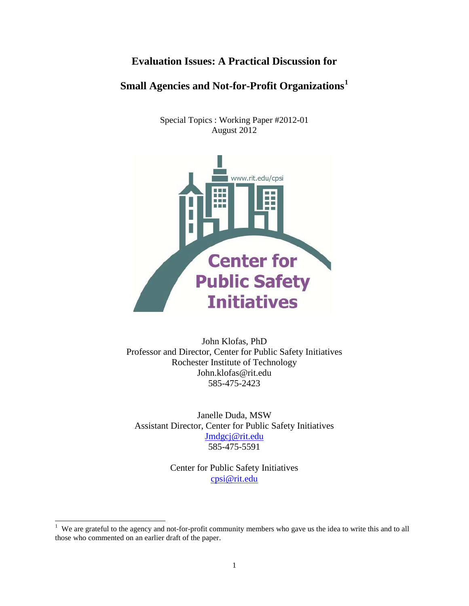# **Evaluation Issues: A Practical Discussion for**

# **Small Agencies and Not-for-Profit Organizations[1](#page-0-0)**

Special Topics : Working Paper #2012-01 August 2012



John Klofas, PhD Professor and Director, Center for Public Safety Initiatives Rochester Institute of Technology John.klofas@rit.edu 585-475-2423

Janelle Duda, MSW Assistant Director, Center for Public Safety Initiatives [Jmdgcj@rit.edu](mailto:Jmdgcj@rit.edu) 585-475-5591

> Center for Public Safety Initiatives [cpsi@rit.edu](mailto:cpsi@rit.edu)

<span id="page-0-0"></span><sup>&</sup>lt;sup>1</sup> We are grateful to the agency and not-for-profit community members who gave us the idea to write this and to all those who commented on an earlier draft of the paper.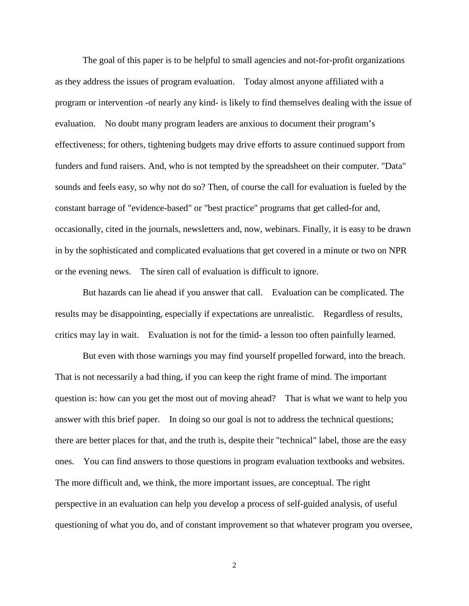The goal of this paper is to be helpful to small agencies and not-for-profit organizations as they address the issues of program evaluation. Today almost anyone affiliated with a program or intervention -of nearly any kind- is likely to find themselves dealing with the issue of evaluation. No doubt many program leaders are anxious to document their program's effectiveness; for others, tightening budgets may drive efforts to assure continued support from funders and fund raisers. And, who is not tempted by the spreadsheet on their computer. "Data" sounds and feels easy, so why not do so? Then, of course the call for evaluation is fueled by the constant barrage of "evidence-based" or "best practice" programs that get called-for and, occasionally, cited in the journals, newsletters and, now, webinars. Finally, it is easy to be drawn in by the sophisticated and complicated evaluations that get covered in a minute or two on NPR or the evening news. The siren call of evaluation is difficult to ignore.

But hazards can lie ahead if you answer that call. Evaluation can be complicated. The results may be disappointing, especially if expectations are unrealistic. Regardless of results, critics may lay in wait. Evaluation is not for the timid- a lesson too often painfully learned.

But even with those warnings you may find yourself propelled forward, into the breach. That is not necessarily a bad thing, if you can keep the right frame of mind. The important question is: how can you get the most out of moving ahead? That is what we want to help you answer with this brief paper. In doing so our goal is not to address the technical questions; there are better places for that, and the truth is, despite their "technical" label, those are the easy ones. You can find answers to those questions in program evaluation textbooks and websites. The more difficult and, we think, the more important issues, are conceptual. The right perspective in an evaluation can help you develop a process of self-guided analysis, of useful questioning of what you do, and of constant improvement so that whatever program you oversee,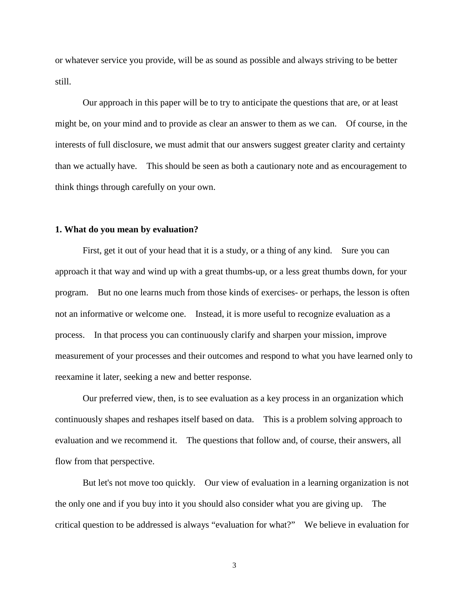or whatever service you provide, will be as sound as possible and always striving to be better still.

Our approach in this paper will be to try to anticipate the questions that are, or at least might be, on your mind and to provide as clear an answer to them as we can. Of course, in the interests of full disclosure, we must admit that our answers suggest greater clarity and certainty than we actually have. This should be seen as both a cautionary note and as encouragement to think things through carefully on your own.

### **1. What do you mean by evaluation?**

First, get it out of your head that it is a study, or a thing of any kind. Sure you can approach it that way and wind up with a great thumbs-up, or a less great thumbs down, for your program. But no one learns much from those kinds of exercises- or perhaps, the lesson is often not an informative or welcome one. Instead, it is more useful to recognize evaluation as a process. In that process you can continuously clarify and sharpen your mission, improve measurement of your processes and their outcomes and respond to what you have learned only to reexamine it later, seeking a new and better response.

Our preferred view, then, is to see evaluation as a key process in an organization which continuously shapes and reshapes itself based on data. This is a problem solving approach to evaluation and we recommend it. The questions that follow and, of course, their answers, all flow from that perspective.

But let's not move too quickly. Our view of evaluation in a learning organization is not the only one and if you buy into it you should also consider what you are giving up. The critical question to be addressed is always "evaluation for what?" We believe in evaluation for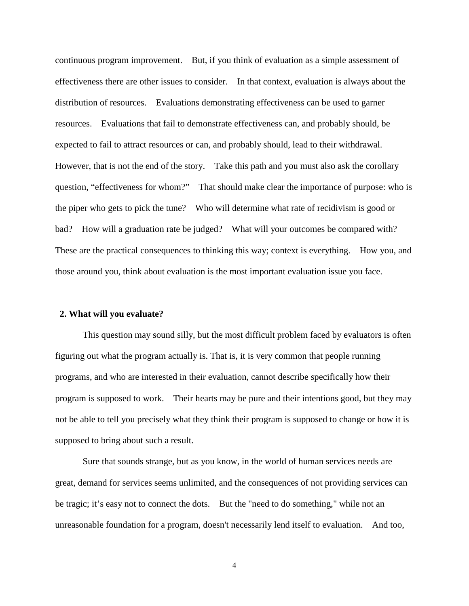continuous program improvement. But, if you think of evaluation as a simple assessment of effectiveness there are other issues to consider. In that context, evaluation is always about the distribution of resources. Evaluations demonstrating effectiveness can be used to garner resources. Evaluations that fail to demonstrate effectiveness can, and probably should, be expected to fail to attract resources or can, and probably should, lead to their withdrawal. However, that is not the end of the story. Take this path and you must also ask the corollary question, "effectiveness for whom?" That should make clear the importance of purpose: who is the piper who gets to pick the tune? Who will determine what rate of recidivism is good or bad? How will a graduation rate be judged? What will your outcomes be compared with? These are the practical consequences to thinking this way; context is everything. How you, and those around you, think about evaluation is the most important evaluation issue you face.

### **2. What will you evaluate?**

This question may sound silly, but the most difficult problem faced by evaluators is often figuring out what the program actually is. That is, it is very common that people running programs, and who are interested in their evaluation, cannot describe specifically how their program is supposed to work. Their hearts may be pure and their intentions good, but they may not be able to tell you precisely what they think their program is supposed to change or how it is supposed to bring about such a result.

Sure that sounds strange, but as you know, in the world of human services needs are great, demand for services seems unlimited, and the consequences of not providing services can be tragic; it's easy not to connect the dots. But the "need to do something," while not an unreasonable foundation for a program, doesn't necessarily lend itself to evaluation. And too,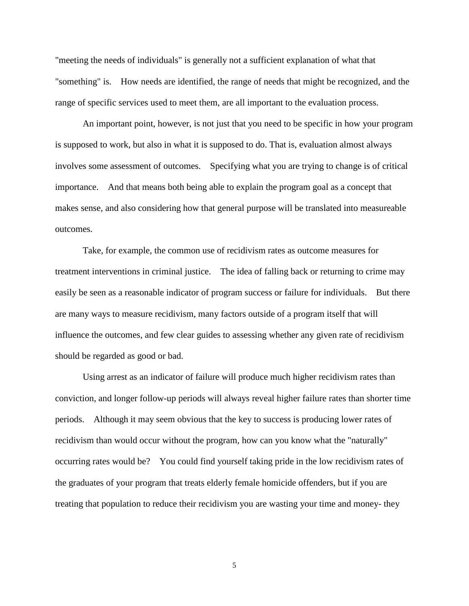"meeting the needs of individuals" is generally not a sufficient explanation of what that "something" is. How needs are identified, the range of needs that might be recognized, and the range of specific services used to meet them, are all important to the evaluation process.

An important point, however, is not just that you need to be specific in how your program is supposed to work, but also in what it is supposed to do. That is, evaluation almost always involves some assessment of outcomes. Specifying what you are trying to change is of critical importance. And that means both being able to explain the program goal as a concept that makes sense, and also considering how that general purpose will be translated into measureable outcomes.

Take, for example, the common use of recidivism rates as outcome measures for treatment interventions in criminal justice. The idea of falling back or returning to crime may easily be seen as a reasonable indicator of program success or failure for individuals. But there are many ways to measure recidivism, many factors outside of a program itself that will influence the outcomes, and few clear guides to assessing whether any given rate of recidivism should be regarded as good or bad.

Using arrest as an indicator of failure will produce much higher recidivism rates than conviction, and longer follow-up periods will always reveal higher failure rates than shorter time periods. Although it may seem obvious that the key to success is producing lower rates of recidivism than would occur without the program, how can you know what the "naturally" occurring rates would be? You could find yourself taking pride in the low recidivism rates of the graduates of your program that treats elderly female homicide offenders, but if you are treating that population to reduce their recidivism you are wasting your time and money- they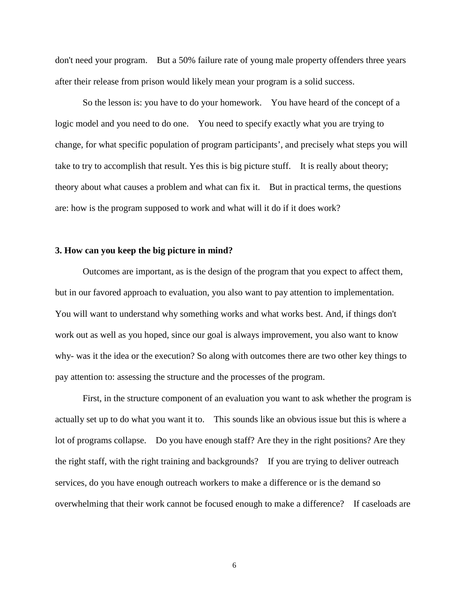don't need your program. But a 50% failure rate of young male property offenders three years after their release from prison would likely mean your program is a solid success.

So the lesson is: you have to do your homework. You have heard of the concept of a logic model and you need to do one. You need to specify exactly what you are trying to change, for what specific population of program participants', and precisely what steps you will take to try to accomplish that result. Yes this is big picture stuff. It is really about theory; theory about what causes a problem and what can fix it. But in practical terms, the questions are: how is the program supposed to work and what will it do if it does work?

# **3. How can you keep the big picture in mind?**

Outcomes are important, as is the design of the program that you expect to affect them, but in our favored approach to evaluation, you also want to pay attention to implementation. You will want to understand why something works and what works best. And, if things don't work out as well as you hoped, since our goal is always improvement, you also want to know why- was it the idea or the execution? So along with outcomes there are two other key things to pay attention to: assessing the structure and the processes of the program.

First, in the structure component of an evaluation you want to ask whether the program is actually set up to do what you want it to. This sounds like an obvious issue but this is where a lot of programs collapse. Do you have enough staff? Are they in the right positions? Are they the right staff, with the right training and backgrounds? If you are trying to deliver outreach services, do you have enough outreach workers to make a difference or is the demand so overwhelming that their work cannot be focused enough to make a difference? If caseloads are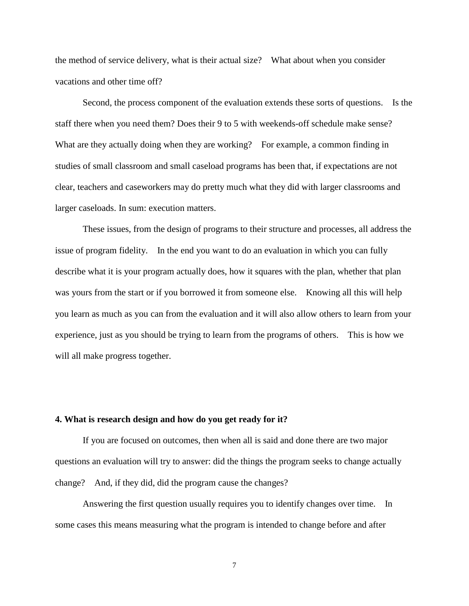the method of service delivery, what is their actual size? What about when you consider vacations and other time off?

Second, the process component of the evaluation extends these sorts of questions. Is the staff there when you need them? Does their 9 to 5 with weekends-off schedule make sense? What are they actually doing when they are working? For example, a common finding in studies of small classroom and small caseload programs has been that, if expectations are not clear, teachers and caseworkers may do pretty much what they did with larger classrooms and larger caseloads. In sum: execution matters.

These issues, from the design of programs to their structure and processes, all address the issue of program fidelity. In the end you want to do an evaluation in which you can fully describe what it is your program actually does, how it squares with the plan, whether that plan was yours from the start or if you borrowed it from someone else. Knowing all this will help you learn as much as you can from the evaluation and it will also allow others to learn from your experience, just as you should be trying to learn from the programs of others. This is how we will all make progress together.

# **4. What is research design and how do you get ready for it?**

If you are focused on outcomes, then when all is said and done there are two major questions an evaluation will try to answer: did the things the program seeks to change actually change? And, if they did, did the program cause the changes?

Answering the first question usually requires you to identify changes over time. In some cases this means measuring what the program is intended to change before and after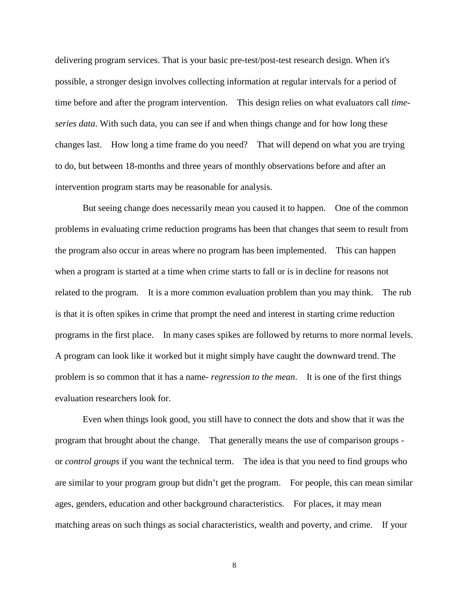delivering program services. That is your basic pre-test/post-test research design. When it's possible, a stronger design involves collecting information at regular intervals for a period of time before and after the program intervention. This design relies on what evaluators call *timeseries data*. With such data, you can see if and when things change and for how long these changes last. How long a time frame do you need? That will depend on what you are trying to do, but between 18-months and three years of monthly observations before and after an intervention program starts may be reasonable for analysis.

But seeing change does necessarily mean you caused it to happen. One of the common problems in evaluating crime reduction programs has been that changes that seem to result from the program also occur in areas where no program has been implemented. This can happen when a program is started at a time when crime starts to fall or is in decline for reasons not related to the program. It is a more common evaluation problem than you may think. The rub is that it is often spikes in crime that prompt the need and interest in starting crime reduction programs in the first place. In many cases spikes are followed by returns to more normal levels. A program can look like it worked but it might simply have caught the downward trend. The problem is so common that it has a name- *regression to the mean*. It is one of the first things evaluation researchers look for.

Even when things look good, you still have to connect the dots and show that it was the program that brought about the change. That generally means the use of comparison groups or *control groups* if you want the technical term. The idea is that you need to find groups who are similar to your program group but didn't get the program. For people, this can mean similar ages, genders, education and other background characteristics. For places, it may mean matching areas on such things as social characteristics, wealth and poverty, and crime. If your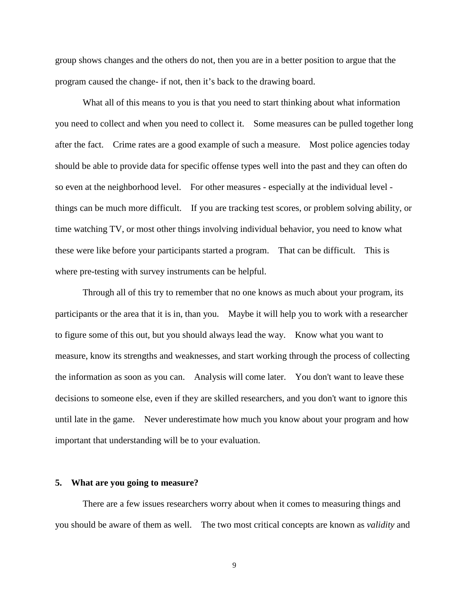group shows changes and the others do not, then you are in a better position to argue that the program caused the change- if not, then it's back to the drawing board.

What all of this means to you is that you need to start thinking about what information you need to collect and when you need to collect it. Some measures can be pulled together long after the fact. Crime rates are a good example of such a measure. Most police agencies today should be able to provide data for specific offense types well into the past and they can often do so even at the neighborhood level. For other measures - especially at the individual level things can be much more difficult. If you are tracking test scores, or problem solving ability, or time watching TV, or most other things involving individual behavior, you need to know what these were like before your participants started a program. That can be difficult. This is where pre-testing with survey instruments can be helpful.

Through all of this try to remember that no one knows as much about your program, its participants or the area that it is in, than you. Maybe it will help you to work with a researcher to figure some of this out, but you should always lead the way. Know what you want to measure, know its strengths and weaknesses, and start working through the process of collecting the information as soon as you can. Analysis will come later. You don't want to leave these decisions to someone else, even if they are skilled researchers, and you don't want to ignore this until late in the game. Never underestimate how much you know about your program and how important that understanding will be to your evaluation.

#### **5. What are you going to measure?**

There are a few issues researchers worry about when it comes to measuring things and you should be aware of them as well. The two most critical concepts are known as *validity* and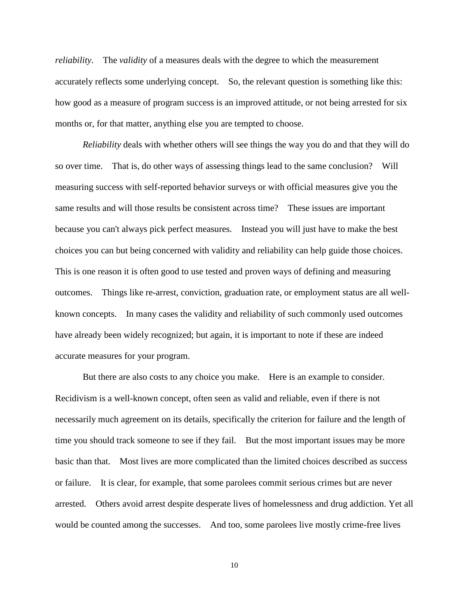*reliability*. The *validity* of a measures deals with the degree to which the measurement accurately reflects some underlying concept. So, the relevant question is something like this: how good as a measure of program success is an improved attitude, or not being arrested for six months or, for that matter, anything else you are tempted to choose.

*Reliability* deals with whether others will see things the way you do and that they will do so over time. That is, do other ways of assessing things lead to the same conclusion? Will measuring success with self-reported behavior surveys or with official measures give you the same results and will those results be consistent across time? These issues are important because you can't always pick perfect measures. Instead you will just have to make the best choices you can but being concerned with validity and reliability can help guide those choices. This is one reason it is often good to use tested and proven ways of defining and measuring outcomes. Things like re-arrest, conviction, graduation rate, or employment status are all wellknown concepts. In many cases the validity and reliability of such commonly used outcomes have already been widely recognized; but again, it is important to note if these are indeed accurate measures for your program.

But there are also costs to any choice you make. Here is an example to consider. Recidivism is a well-known concept, often seen as valid and reliable, even if there is not necessarily much agreement on its details, specifically the criterion for failure and the length of time you should track someone to see if they fail. But the most important issues may be more basic than that. Most lives are more complicated than the limited choices described as success or failure. It is clear, for example, that some parolees commit serious crimes but are never arrested. Others avoid arrest despite desperate lives of homelessness and drug addiction. Yet all would be counted among the successes. And too, some parolees live mostly crime-free lives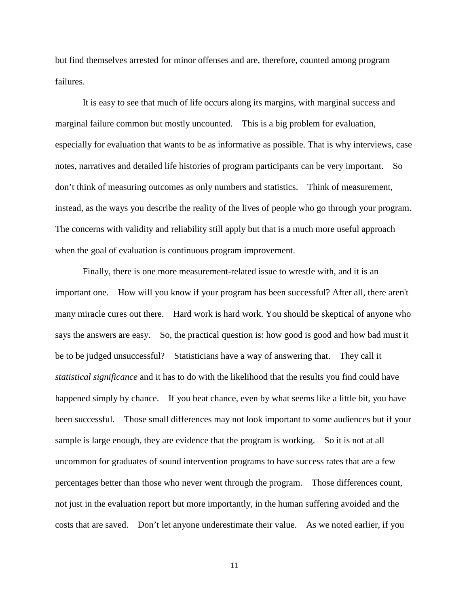but find themselves arrested for minor offenses and are, therefore, counted among program failures.

It is easy to see that much of life occurs along its margins, with marginal success and marginal failure common but mostly uncounted. This is a big problem for evaluation, especially for evaluation that wants to be as informative as possible. That is why interviews, case notes, narratives and detailed life histories of program participants can be very important. So don't think of measuring outcomes as only numbers and statistics. Think of measurement, instead, as the ways you describe the reality of the lives of people who go through your program. The concerns with validity and reliability still apply but that is a much more useful approach when the goal of evaluation is continuous program improvement.

Finally, there is one more measurement-related issue to wrestle with, and it is an important one. How will you know if your program has been successful? After all, there aren't many miracle cures out there. Hard work is hard work. You should be skeptical of anyone who says the answers are easy. So, the practical question is: how good is good and how bad must it be to be judged unsuccessful? Statisticians have a way of answering that. They call it *statistical significance* and it has to do with the likelihood that the results you find could have happened simply by chance. If you beat chance, even by what seems like a little bit, you have been successful. Those small differences may not look important to some audiences but if your sample is large enough, they are evidence that the program is working. So it is not at all uncommon for graduates of sound intervention programs to have success rates that are a few percentages better than those who never went through the program. Those differences count, not just in the evaluation report but more importantly, in the human suffering avoided and the costs that are saved. Don't let anyone underestimate their value. As we noted earlier, if you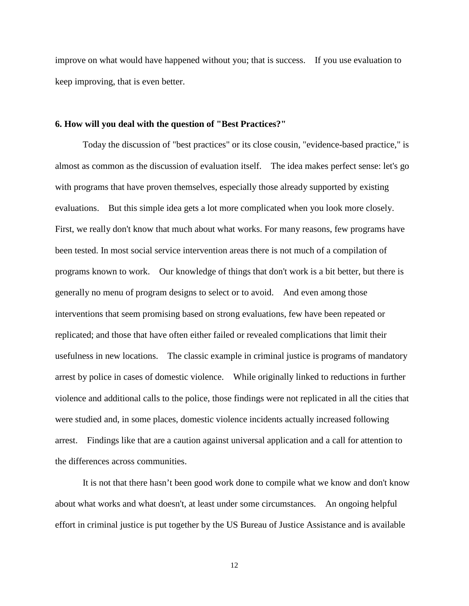improve on what would have happened without you; that is success. If you use evaluation to keep improving, that is even better.

### **6. How will you deal with the question of "Best Practices?"**

Today the discussion of "best practices" or its close cousin, "evidence-based practice," is almost as common as the discussion of evaluation itself. The idea makes perfect sense: let's go with programs that have proven themselves, especially those already supported by existing evaluations. But this simple idea gets a lot more complicated when you look more closely. First, we really don't know that much about what works. For many reasons, few programs have been tested. In most social service intervention areas there is not much of a compilation of programs known to work. Our knowledge of things that don't work is a bit better, but there is generally no menu of program designs to select or to avoid. And even among those interventions that seem promising based on strong evaluations, few have been repeated or replicated; and those that have often either failed or revealed complications that limit their usefulness in new locations. The classic example in criminal justice is programs of mandatory arrest by police in cases of domestic violence. While originally linked to reductions in further violence and additional calls to the police, those findings were not replicated in all the cities that were studied and, in some places, domestic violence incidents actually increased following arrest. Findings like that are a caution against universal application and a call for attention to the differences across communities.

It is not that there hasn't been good work done to compile what we know and don't know about what works and what doesn't, at least under some circumstances. An ongoing helpful effort in criminal justice is put together by the US Bureau of Justice Assistance and is available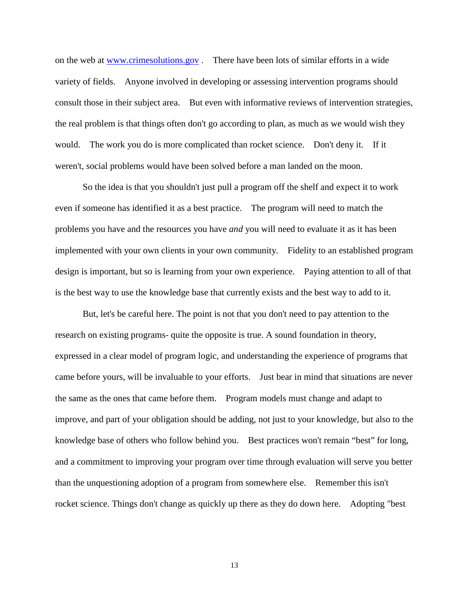on the web at [www.crimesolutions.gov](http://www.crimesolutions.gov/) . There have been lots of similar efforts in a wide variety of fields. Anyone involved in developing or assessing intervention programs should consult those in their subject area. But even with informative reviews of intervention strategies, the real problem is that things often don't go according to plan, as much as we would wish they would. The work you do is more complicated than rocket science. Don't deny it. If it weren't, social problems would have been solved before a man landed on the moon.

So the idea is that you shouldn't just pull a program off the shelf and expect it to work even if someone has identified it as a best practice. The program will need to match the problems you have and the resources you have *and* you will need to evaluate it as it has been implemented with your own clients in your own community. Fidelity to an established program design is important, but so is learning from your own experience. Paying attention to all of that is the best way to use the knowledge base that currently exists and the best way to add to it.

But, let's be careful here. The point is not that you don't need to pay attention to the research on existing programs- quite the opposite is true. A sound foundation in theory, expressed in a clear model of program logic, and understanding the experience of programs that came before yours, will be invaluable to your efforts. Just bear in mind that situations are never the same as the ones that came before them. Program models must change and adapt to improve, and part of your obligation should be adding, not just to your knowledge, but also to the knowledge base of others who follow behind you. Best practices won't remain "best" for long, and a commitment to improving your program over time through evaluation will serve you better than the unquestioning adoption of a program from somewhere else. Remember this isn't rocket science. Things don't change as quickly up there as they do down here. Adopting "best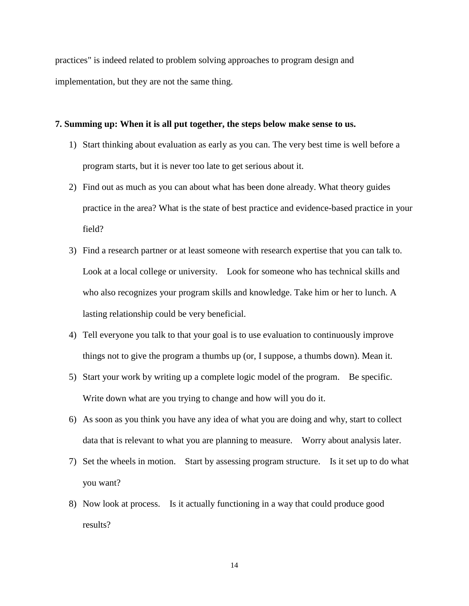practices" is indeed related to problem solving approaches to program design and implementation, but they are not the same thing.

## **7. Summing up: When it is all put together, the steps below make sense to us.**

- 1) Start thinking about evaluation as early as you can. The very best time is well before a program starts, but it is never too late to get serious about it.
- 2) Find out as much as you can about what has been done already. What theory guides practice in the area? What is the state of best practice and evidence-based practice in your field?
- 3) Find a research partner or at least someone with research expertise that you can talk to. Look at a local college or university. Look for someone who has technical skills and who also recognizes your program skills and knowledge. Take him or her to lunch. A lasting relationship could be very beneficial.
- 4) Tell everyone you talk to that your goal is to use evaluation to continuously improve things not to give the program a thumbs up (or, I suppose, a thumbs down). Mean it.
- 5) Start your work by writing up a complete logic model of the program. Be specific. Write down what are you trying to change and how will you do it.
- 6) As soon as you think you have any idea of what you are doing and why, start to collect data that is relevant to what you are planning to measure. Worry about analysis later.
- 7) Set the wheels in motion. Start by assessing program structure. Is it set up to do what you want?
- 8) Now look at process. Is it actually functioning in a way that could produce good results?